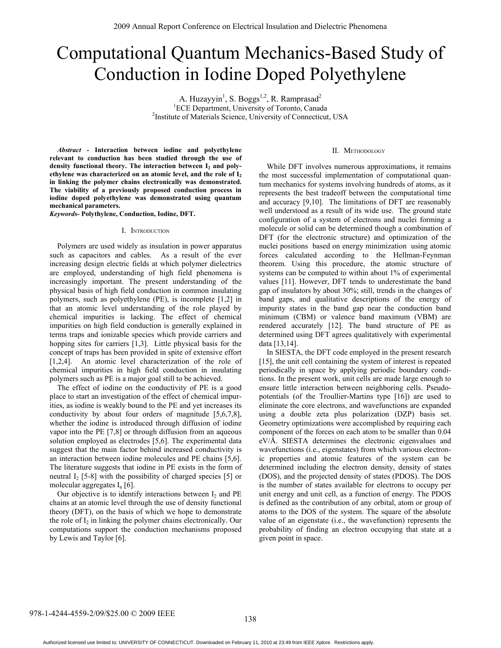# Computational Quantum Mechanics-Based Study of Conduction in Iodine Doped Polyethylene

A. Huzayyin<sup>1</sup>, S. Boggs<sup>1,2</sup>, R. Ramprasad<sup>2</sup> <sup>1</sup>ECE Department, University of Toronto, Canada<sup>2</sup><br><sup>2</sup>Institute of Materials Science, University of Connecticut <sup>2</sup>Institute of Materials Science, University of Connecticut, USA

*Abstract -* **Interaction between iodine and polyethylene relevant to conduction has been studied through the use of**  density functional theory. The interaction between I<sub>2</sub> and poly**ethylene was characterized on an atomic level, and the role of I2 in linking the polymer chains electronically was demonstrated. The viability of a previously proposed conduction process in iodine doped polyethylene was demonstrated using quantum mechanical parameters.** 

*Keywords-* **Polythylene, Conduction, Iodine, DFT.** 

#### I. INTRODUCTION

Polymers are used widely as insulation in power apparatus such as capacitors and cables. As a result of the ever increasing design electric fields at which polymer dielectrics are employed, understanding of high field phenomena is increasingly important. The present understanding of the physical basis of high field conduction in common insulating polymers, such as polyethylene (PE), is incomplete [1,2] in that an atomic level understanding of the role played by chemical impurities is lacking. The effect of chemical impurities on high field conduction is generally explained in terms traps and ionizable species which provide carriers and hopping sites for carriers [1,3]. Little physical basis for the concept of traps has been provided in spite of extensive effort [1,2,4]. An atomic level characterization of the role of chemical impurities in high field conduction in insulating polymers such as PE is a major goal still to be achieved.

The effect of iodine on the conductivity of PE is a good place to start an investigation of the effect of chemical impurities, as iodine is weakly bound to the PE and yet increases its conductivity by about four orders of magnitude [5,6,7,8], whether the iodine is introduced through diffusion of iodine vapor into the PE [7,8] or through diffusion from an aqueous solution employed as electrodes [5,6]. The experimental data suggest that the main factor behind increased conductivity is an interaction between iodine molecules and PE chains [5,6]. The literature suggests that iodine in PE exists in the form of neutral  $I_2$  [5-8] with the possibility of charged species [5] or molecular aggregates  $I_n$  [6].

Our objective is to identify interactions between  $I_2$  and PE chains at an atomic level through the use of density functional theory (DFT), on the basis of which we hope to demonstrate the role of  $I_2$  in linking the polymer chains electronically. Our computations support the conduction mechanisms proposed by Lewis and Taylor [6].

## II. METHODOLOGY

While DFT involves numerous approximations, it remains the most successful implementation of computational quantum mechanics for systems involving hundreds of atoms, as it represents the best tradeoff between the computational time and accuracy [9,10]. The limitations of DFT are reasonably well understood as a result of its wide use. The ground state configuration of a system of electrons and nuclei forming a molecule or solid can be determined though a combination of DFT (for the electronic structure) and optimization of the nuclei positions based on energy minimization using atomic forces calculated according to the Hellman-Feynman theorem. Using this procedure, the atomic structure of systems can be computed to within about 1% of experimental values [11]. However, DFT tends to underestimate the band gap of insulators by about 30%; still, trends in the changes of band gaps, and qualitative descriptions of the energy of impurity states in the band gap near the conduction band minimum (CBM) or valence band maximum (VBM) are rendered accurately [12]. The band structure of PE as determined using DFT agrees qualitatively with experimental data [13,14].

In SIESTA, the DFT code employed in the present research [15], the unit cell containing the system of interest is repeated periodically in space by applying periodic boundary conditions. In the present work, unit cells are made large enough to ensure little interaction between neighboring cells. Pseudopotentials (of the Troullier-Martins type [16]) are used to eliminate the core electrons, and wavefunctions are expanded using a double zeta plus polarization (DZP) basis set. Geometry optimizations were accomplished by requiring each component of the forces on each atom to be smaller than 0.04 eV/Å. SIESTA determines the electronic eigenvalues and wavefunctions (i.e., eigenstates) from which various electronic properties and atomic features of the system can be determined including the electron density, density of states (DOS), and the projected density of states (PDOS). The DOS is the number of states available for electrons to occupy per unit energy and unit cell, as a function of energy. The PDOS is defined as the contribution of any orbital, atom or group of atoms to the DOS of the system. The square of the absolute value of an eigenstate (i.e., the wavefunction) represents the probability of finding an electron occupying that state at a given point in space.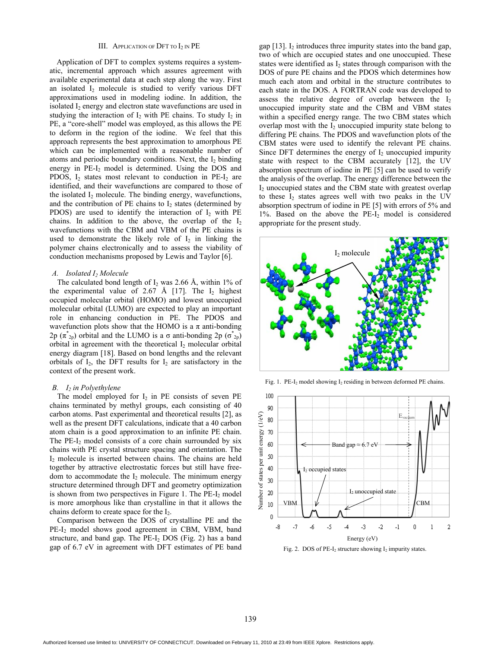#### III. APPLICATION OF DFT TO I<sub>2</sub> IN PE

Application of DFT to complex systems requires a systematic, incremental approach which assures agreement with available experimental data at each step along the way. First an isolated  $I_2$  molecule is studied to verify various DFT approximations used in modeling iodine. In addition, the isolated I<sub>2</sub> energy and electron state wavefunctions are used in studying the interaction of  $I_2$  with PE chains. To study  $I_2$  in PE, a "core-shell" model was employed, as this allows the PE to deform in the region of the iodine. We feel that this approach represents the best approximation to amorphous PE which can be implemented with a reasonable number of atoms and periodic boundary conditions. Next, the  $I_2$  binding energy in PE-I<sub>2</sub> model is determined. Using the DOS and PDOS,  $I_2$  states most relevant to conduction in PE- $I_2$  are identified, and their wavefunctions are compared to those of the isolated  $I_2$  molecule. The binding energy, wavefunctions, and the contribution of PE chains to  $I_2$  states (determined by PDOS) are used to identify the interaction of  $I_2$  with PE chains. In addition to the above, the overlap of the  $I_2$ wavefunctions with the CBM and VBM of the PE chains is used to demonstrate the likely role of  $I_2$  in linking the polymer chains electronically and to assess the viability of conduction mechanisms proposed by Lewis and Taylor [6].

## *A. Isolated I2 Molecule*

The calculated bond length of  $I_2$  was 2.66 Å, within 1% of the experimental value of 2.67 Å [17]. The  $I_2$  highest occupied molecular orbital (HOMO) and lowest unoccupied molecular orbital (LUMO) are expected to play an important role in enhancing conduction in PE. The PDOS and wavefunction plots show that the HOMO is a  $\pi$  anti-bonding 2p ( $\pi^*_{2p}$ ) orbital and the LUMO is a  $\sigma$  anti-bonding 2p ( $\sigma^*_{2p}$ ) orbital in agreement with the theoretical  $I_2$  molecular orbital energy diagram [18]. Based on bond lengths and the relevant orbitals of  $I_2$ , the DFT results for  $I_2$  are satisfactory in the context of the present work.

## *B. I<sub>2</sub> in Polyethylene*

The model employed for  $I_2$  in PE consists of seven PE chains terminated by methyl groups, each consisting of 40 carbon atoms. Past experimental and theoretical results [2], as well as the present DFT calculations, indicate that a 40 carbon atom chain is a good approximation to an infinite PE chain. The  $PE-I_2$  model consists of a core chain surrounded by six chains with PE crystal structure spacing and orientation. The I2 molecule is inserted between chains. The chains are held together by attractive electrostatic forces but still have freedom to accommodate the  $I_2$  molecule. The minimum energy structure determined through DFT and geometry optimization is shown from two perspectives in Figure 1. The  $PE-I_2$  model is more amorphous like than crystalline in that it allows the chains deform to create space for the I2.

Comparison between the DOS of crystalline PE and the PE-I<sub>2</sub> model shows good agreement in CBM, VBM, band structure, and band gap. The  $PE-I_2$  DOS (Fig. 2) has a band gap of 6.7 eV in agreement with DFT estimates of PE band

gap  $[13]$ . I<sub>2</sub> introduces three impurity states into the band gap, two of which are occupied states and one unoccupied. These states were identified as  $I_2$  states through comparison with the DOS of pure PE chains and the PDOS which determines how much each atom and orbital in the structure contributes to each state in the DOS. A FORTRAN code was developed to assess the relative degree of overlap between the  $I_2$ unoccupied impurity state and the CBM and VBM states within a specified energy range. The two CBM states which overlap most with the  $I_2$  unoccupied impurity state belong to differing PE chains. The PDOS and wavefunction plots of the CBM states were used to identify the relevant PE chains. Since DFT determines the energy of  $I_2$  unoccupied impurity state with respect to the CBM accurately [12], the UV absorption spectrum of iodine in PE [5] can be used to verify the analysis of the overlap. The energy difference between the I<sub>2</sub> unoccupied states and the CBM state with greatest overlap to these  $I_2$  states agrees well with two peaks in the UV absorption spectrum of iodine in PE [5] with errors of 5% and 1%. Based on the above the  $PE-I_2$  model is considered appropriate for the present study.



Fig. 1. PE-I<sub>2</sub> model showing I<sub>2</sub> residing in between deformed PE chains.



Fig. 2. DOS of PE- $I_2$  structure showing  $I_2$  impurity states.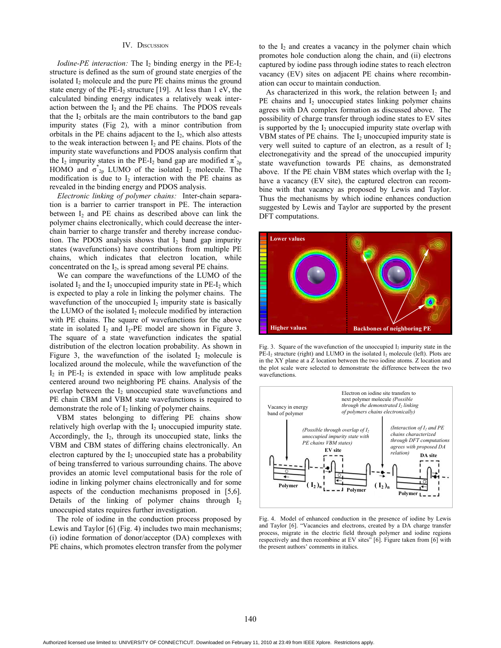# IV. DISCUSSION

*Iodine-PE interaction:* The  $I_2$  binding energy in the  $PE-I_2$ structure is defined as the sum of ground state energies of the isolated  $I_2$  molecule and the pure PE chains minus the ground state energy of the PE-I<sub>2</sub> structure [19]. At less than 1 eV, the calculated binding energy indicates a relatively weak interaction between the  $I_2$  and the PE chains. The PDOS reveals that the  $I_2$  orbitals are the main contributors to the band gap impurity states (Fig 2), with a minor contribution from orbitals in the PE chains adjacent to the  $I_2$ , which also attests to the weak interaction between  $I_2$  and PE chains. Plots of the impurity state wavefunctions and PDOS analysis confirm that the I<sub>2</sub> impurity states in the PE-I<sub>2</sub> band gap are modified  $\pi^*_{2p}$ HOMO and  $\sigma_{2p}^*$  LUMO of the isolated I<sub>2</sub> molecule. The modification is due to  $I_2$  interaction with the PE chains as revealed in the binding energy and PDOS analysis.

*Electronic linking of polymer chains:* Inter-chain separation is a barrier to carrier transport in PE. The interaction between I<sub>2</sub> and PE chains as described above can link the polymer chains electronically, which could decrease the interchain barrier to charge transfer and thereby increase conduction. The PDOS analysis shows that  $I_2$  band gap impurity states (wavefunctions) have contributions from multiple PE chains, which indicates that electron location, while concentrated on the  $I_2$ , is spread among several PE chains.

We can compare the wavefunctions of the LUMO of the isolated  $I_2$  and the  $I_2$  unoccupied impurity state in PE- $I_2$  which is expected to play a role in linking the polymer chains. The wavefunction of the unoccupied  $I_2$  impurity state is basically the LUMO of the isolated  $I_2$  molecule modified by interaction with PE chains. The square of wavefunctions for the above state in isolated  $I_2$  and  $I_2$ -PE model are shown in Figure 3. The square of a state wavefunction indicates the spatial distribution of the electron location probability. As shown in Figure 3, the wavefunction of the isolated  $I_2$  molecule is localized around the molecule, while the wavefunction of the  $I_2$  in PE- $I_2$  is extended in space with low amplitude peaks centered around two neighboring PE chains. Analysis of the overlap between the  $I_2$  unoccupied state wavefunctions and PE chain CBM and VBM state wavefunctions is required to demonstrate the role of  $I_2$  linking of polymer chains.

VBM states belonging to differing PE chains show relatively high overlap with the  $I_2$  unoccupied impurity state. Accordingly, the  $I_2$ , through its unoccupied state, links the VBM and CBM states of differing chains electronically. An electron captured by the  $I_2$  unoccupied state has a probability of being transferred to various surrounding chains. The above provides an atomic level computational basis for the role of iodine in linking polymer chains electronically and for some aspects of the conduction mechanisms proposed in [5,6]. Details of the linking of polymer chains through  $I_2$ unoccupied states requires further investigation.

The role of iodine in the conduction process proposed by Lewis and Taylor [6] (Fig. 4) includes two main mechanisms; (i) iodine formation of donor/acceptor (DA) complexes with PE chains, which promotes electron transfer from the polymer to the  $I_2$  and creates a vacancy in the polymer chain which promotes hole conduction along the chain, and (ii) electrons captured by iodine pass through iodine states to reach electron vacancy (EV) sites on adjacent PE chains where recombination can occur to maintain conduction.

As characterized in this work, the relation between  $I_2$  and  $PE$  chains and  $I_2$  unoccupied states linking polymer chains agrees with DA complex formation as discussed above. The possibility of charge transfer through iodine states to EV sites is supported by the  $I_2$  unoccupied impurity state overlap with VBM states of PE chains. The  $I_2$  unoccupied impurity state is very well suited to capture of an electron, as a result of  $I_2$ electronegativity and the spread of the unoccupied impurity state wavefunction towards PE chains, as demonstrated above. If the PE chain VBM states which overlap with the  $I_2$ have a vacancy (EV site), the captured electron can recombine with that vacancy as proposed by Lewis and Taylor. Thus the mechanisms by which iodine enhances conduction suggested by Lewis and Taylor are supported by the present DFT computations.



Fig. 3. Square of the wavefunction of the unoccupied  $I_2$  impurity state in the  $PE-I_2$  structure (right) and LUMO in the isolated  $I_2$  molecule (left). Plots are in the XY plane at a Z location between the two iodine atoms. Z location and the plot scale were selected to demonstrate the difference between the two wavefunctions.



Fig. 4. Model of enhanced conduction in the presence of iodine by Lewis and Taylor [6]. "Vacancies and electrons, created by a DA charge transfer process, migrate in the electric field through polymer and iodine regions respectively and then recombine at EV sites" [6]. Figure taken from [6] with the present authors' comments in italics.